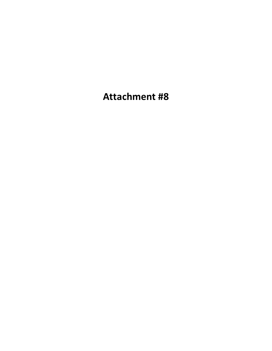**Attachment #8**